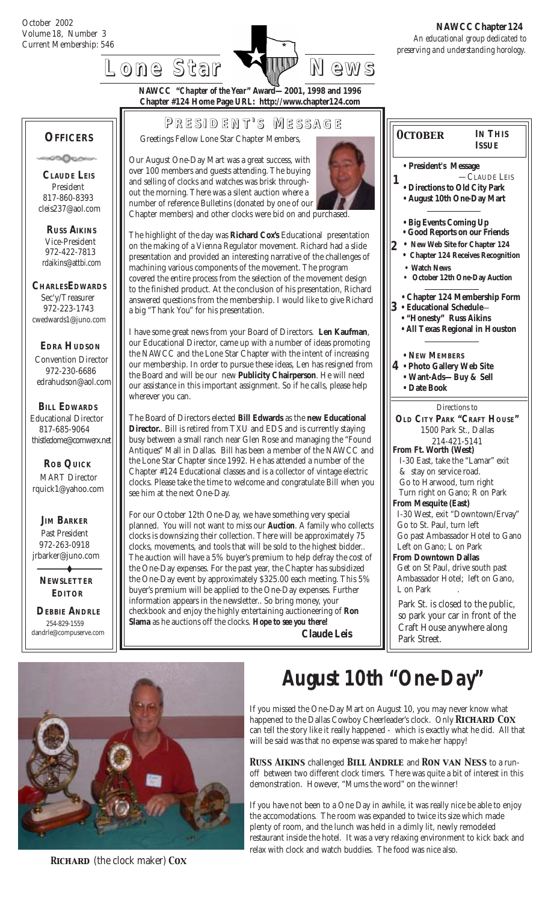**OFFICERS**

 **CLAUDE LEIS** President 817-860-8393 cleis237@aol.com

േക്കാം

 **RUSS AIKINS** Vice-President 972-422-7813 rdaikins@attbi.com

**CHARLESEDWARDS** Sec'y/Treasurer 972-223-1743 cwedwards1@juno.com

 **EDRA HUDSON** Convention Director 972-230-6686 edrahudson@aol.com



**NAWCC "***Chapter of the Year***" Award—2001, 1998 and 1996 Chapter #124 Home Page URL: http://www.chapter124.com**

**P RESIDENT RESIDENT' S M ESSAGE**

Greetings Fellow Lone Star Chapter Members,

Our August One-Day Mart was a great success, with over 100 members and guests attending. The buying and selling of clocks and watches was brisk throughout the morning. There was a silent auction where a number of reference Bulletins (donated by one of our Chapter members) and other clocks were bid on and purchased.



The highlight of the day was **Richard Cox's** Educational presentation on the making of a Vienna Regulator movement. Richard had a slide presentation and provided an interesting narrative of the challenges of machining various components of the movement. The program covered the entire process from the selection of the movement design to the finished product. At the conclusion of his presentation, Richard answered questions from the membership. I would like to give Richard a big "Thank You" for his presentation.

I have some great news from your Board of Directors. **Len Kaufman**, our Educational Director, came up with a number of ideas promoting the NAWCC and the Lone Star Chapter with the intent of increasing our membership. In order to pursue these ideas, Len has resigned from the Board and will be our new **Publicity Chairperson**. He will need our assistance in this important assignment. So if he calls, please help wherever you can.

The Board of Directors elected **Bill Edwards** as the **new Educational Director.**. Bill is retired from TXU and EDS and is currently staying busy between a small ranch near Glen Rose and managing the "Found Antiques" Mall in Dallas. Bill has been a member of the NAWCC and the Lone Star Chapter since 1992. He has attended a number of the Chapter #124 Educational classes and is a collector of vintage electric clocks. Please take the time to welcome and congratulate Bill when you see him at the next One-Day.

For our October 12th One-Day, we have something very special planned. You will not want to miss our *Auction*. A family who collects clocks is downsizing their collection. There will be approximately 75 clocks, movements, and tools that will be sold to the highest bidder.. The auction will have a 5% buyer's premium to help defray the cost of the One-Day expenses. For the past year, the Chapter has subsidized the One-Day event by approximately \$325.00 each meeting. This 5% buyer's premium will be applied to the One-Day expenses. Further information appears in the newsletter.. So bring money, your checkbook and enjoy the highly entertaining auctioneering of **Ron Slama** as he auctions off the clocks. *Hope to see you there!* **Claude Leis**

**• President's Message** —CLAUDE LEIS **• Directions to Old City Park • August 10th One-Day Mart 1 4 • Photo Gallery Web Site 2 • Chapter 124 Membership Form • NEW MEMBERS • Want-Ads—Buy & Sell • Date Book 3 • Educational Schedule**— **• Big Events Coming Up** Directions to **OLD CITY PARK "CRAFT HOUSE"** 1500 Park St., Dallas 214-421-5141 **From Ft. Worth (West)** I-30 East, take the "Lamar" exit & stay on service road. Go to Harwood, turn right Turn right on Gano; R on Park **From Mesquite (East)** I-30 West, exit "Downtown/Ervay" Go to St. Paul, turn left Go past Ambassador Hotel to Gano Left on Gano; L on Park **From Downtown Dallas** Get on St Paul, drive south past Ambassador Hotel; left on Gano, L on Park Park St. is closed to the public, so park your car in front of the Craft House anywhere along **IN THIS ISSUE • "Honesty" Russ Aikins • All Texas Regional in Houston** *October* **• Good Reports on our Friends** **• New Web Site for Chapter 124** **• Chapter 124 Receives Recognition Watch News • October 12th One-Day Auction**



 **DEBBIE ANDRLE** 254-829-1559 dandrle@compuserve.com

 **NEWSLETTER EDITOR**

 **JIM BARKER** Past President 972-263-0918 jrbarker@juno.com

 **ROB QUICK** MART Director rquick1@yahoo.com

 **BILL EDWARDS** Educational Director 817-685-9064 thistledome@comwerx.net

 *Richard* (the clock maker) *Cox*

# *August 10th "One-Day"*

Park Street.

If you missed the One-Day Mart on August 10, you may never know what happened to the Dallas Cowboy Cheerleader's clock. Only **RICHARD COX** can tell the story like it really happened - which is exactly what he did. All that will be said was that no expense was spared to make her happy!

*Russ Aikins* challenged *Bill Andrle* and *Ron van Ness* to a runoff between two different clock timers. There was quite a bit of interest in this demonstration. However, "Mums the word" on the winner!

If you have not been to a One Day in awhile, it was really nice be able to enjoy the accomodations. The room was expanded to twice its size which made plenty of room, and the lunch was held in a dimly lit, newly remodeled restaurant inside the hotel. It was a very relaxing environment to kick back and relax with clock and watch buddies. The food was nice also.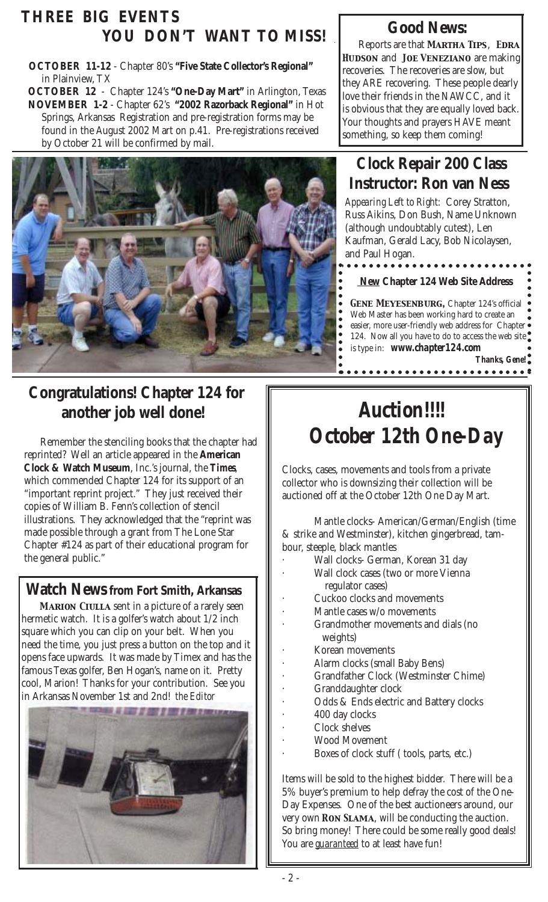### **THREE BIG EVENTS YOU DON'T WANT TO MISS!**

 **OCTOBER 11-12** - Chapter 80's **"Five State Collector's Regional"** in Plainview, TX

**OCTOBER 12** - Chapter 124's **"One-Day Mart"** in Arlington, Texas **NOVEMBER 1-2** - Chapter 62's **"2002 Razorback Regional"** in Hot Springs, Arkansas Registration and pre-registration forms may be found in the August 2002 Mart on p.41. Pre-registrations received by October 21 will be confirmed by mail.



# **Congratulations! Chapter 124 for another job well done!**

 Remember the stenciling books that the chapter had reprinted? Well an article appeared in the **American Clock & Watch Museum**, Inc.'s journal, the *Times*, which commended Chapter 124 for its support of an "important reprint project." They just received their copies of William B. Fenn's collection of stencil illustrations. They acknowledged that the "reprint was made possible through a grant from The Lone Star Chapter #124 as part of their educational program for the general public."

#### **Watch News from Fort Smith, Arkansas**

*Marion Ciulla* sent in a picture of a rarely seen hermetic watch. It is a golfer's watch about 1/2 inch square which you can clip on your belt. When you need the time, you just press a button on the top and it opens face upwards. It was made by Timex and has the famous Texas golfer, Ben Hogan's, name on it. Pretty cool, Marion! Thanks for your contribution. See you in Arkansas November 1st and 2nd! *the Editor*



# **Good News:**

 Reports are that *Martha Tips*, *Edra Hudson* and *Joe Veneziano* are making recoveries. The recoveries are slow, but they ARE recovering. These people dearly love their friends in the NAWCC, and it is obvious that they are equally loved back. Your thoughts and prayers HAVE meant something, so keep them coming!

### **Clock Repair 200 Class Instructor: Ron van Ness**

 *Appearing Left to Right:* Corey Stratton, Russ Aikins, Don Bush, Name Unknown (although undoubtably cutest), Len Kaufman, Gerald Lacy, Bob Nicolaysen, and Paul Hogan.

**New Chapter 124 Web Site Address**

**GENE MEYESENBURG, Chapter 124's official** Web Master has been working hard to create an easier, more user-friendly web address for Chapter . 124. Now all you have to do to access the web site is type in: *www.chapter124.com* • New Chapter 124 Web Site Address<br>• GENE MEYESENBURG, Chapter 124's official<br>• Web Master has been working hard to create an<br>• easier, more user-friendly web address for Chapter •<br>• 124. Now all you have to do to access

 *Thanks, Gene!*

# *Auction!!!! October 12th One-Day*

Clocks, cases, movements and tools from a private collector who is downsizing their collection will be auctioned off at the October 12th One Day Mart.

Mantle clocks- American/German/English (time & strike and Westminster), kitchen gingerbread, tambour, steeple, black mantles

- · Wall clocks- German, Korean 31 day
	- Wall clock cases (two or more Vienna regulator cases)
- Cuckoo clocks and movements
- Mantle cases w/o movements
- Grandmother movements and dials (no weights)
- Korean movements
- · Alarm clocks (small Baby Bens)
- · Grandfather Clock (Westminster Chime)
- Granddaughter clock
- Odds & Ends electric and Battery clocks
- 400 day clocks
- Clock shelves
- Wood Movement
- Boxes of clock stuff (tools, parts, etc.)

Items will be sold to the highest bidder. There will be a 5% buyer's premium to help defray the cost of the One-Day Expenses. One of the best auctioneers around, our very own *Ron Slama*, will be conducting the auction. So bring money! There could be some really good deals! You are *guaranteed* to at least have fun!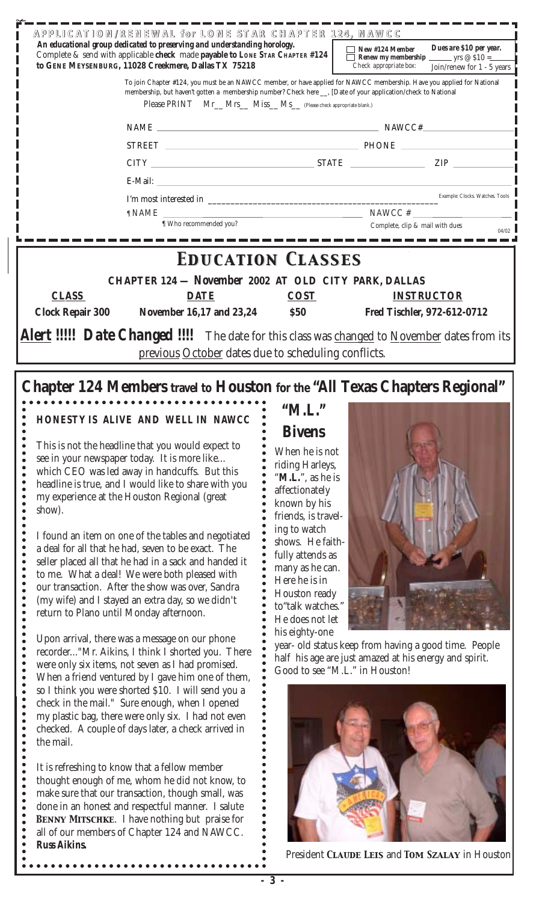| APPLICATION/RENEWAL for LONE STAR CHAPTER 124, NAWCC<br>An educational group dedicated to preserving and understanding horology.<br>Complete & send with applicable check made payable to LONE STAR CHAPTER #124                                                                                                                                                                                                                                                                                                                                                                                                 | Dues are \$10 per year.<br>New #124 Member           |                                                                                                                        |  |  |  |
|------------------------------------------------------------------------------------------------------------------------------------------------------------------------------------------------------------------------------------------------------------------------------------------------------------------------------------------------------------------------------------------------------------------------------------------------------------------------------------------------------------------------------------------------------------------------------------------------------------------|------------------------------------------------------|------------------------------------------------------------------------------------------------------------------------|--|--|--|
| to GENE MEYSENBURG, 11028 Creekmere, Dallas TX 75218                                                                                                                                                                                                                                                                                                                                                                                                                                                                                                                                                             | Check appropriate box:<br>Join/renew for 1 - 5 years |                                                                                                                        |  |  |  |
| membership, but haven't gotten a membership number? Check here __. [Date of your application/check to National<br>Please PRINT Mr_Mrs_Miss_Ms_(Please check appropriate blank.)                                                                                                                                                                                                                                                                                                                                                                                                                                  |                                                      | To join Chapter #124, you must be an NAWCC member, or have applied for NAWCC membership. Have you applied for National |  |  |  |
|                                                                                                                                                                                                                                                                                                                                                                                                                                                                                                                                                                                                                  |                                                      | $NAME \_\_$                                                                                                            |  |  |  |
|                                                                                                                                                                                                                                                                                                                                                                                                                                                                                                                                                                                                                  |                                                      |                                                                                                                        |  |  |  |
|                                                                                                                                                                                                                                                                                                                                                                                                                                                                                                                                                                                                                  |                                                      | $CITY$ $ZIP$ $ZIP$                                                                                                     |  |  |  |
|                                                                                                                                                                                                                                                                                                                                                                                                                                                                                                                                                                                                                  |                                                      |                                                                                                                        |  |  |  |
|                                                                                                                                                                                                                                                                                                                                                                                                                                                                                                                                                                                                                  |                                                      |                                                                                                                        |  |  |  |
| $\texttt{T} \texttt{NAME}$ $\texttt{NAME}$ $\texttt{NAME}$ $\texttt{NAME}$ $\texttt{NAME}$ $\texttt{NAME}$ $\texttt{EXAMPLE} \texttt{EXAMPLE} \texttt{EXAMPLE} \texttt{EXAMPLE} \texttt{EXAMPLE} \texttt{EXAMPLE} \texttt{EXAMPLE} \texttt{EXAMPLE} \texttt{EXAMPLE} \texttt{EXAMPLE} \texttt{EXAMPLE} \texttt{EXAMPLE} \texttt{EXAMPLE} \texttt{EXAMPLE} \texttt{EXAMPLE} \texttt{EXAMPLE} \texttt{EXAMPLE} \texttt{EXAMPLE} \texttt{EXAMPLE} \texttt{EXAMPLE} \texttt{EXAMPLE} \texttt{EXAMPLE} \texttt{EXAMPLE} \texttt{EXAMPLE} \texttt{EXAMPLE} \texttt{EXAMPLE} \texttt{EXAMPLE$<br>¶ Who recommended you? |                                                      | Complete, clip & mail with dues                                                                                        |  |  |  |
|                                                                                                                                                                                                                                                                                                                                                                                                                                                                                                                                                                                                                  |                                                      | 04/02                                                                                                                  |  |  |  |
| <b>EDUCATION CLASSES</b>                                                                                                                                                                                                                                                                                                                                                                                                                                                                                                                                                                                         |                                                      |                                                                                                                        |  |  |  |
| CHAPTER 124 - November 2002 AT OLD CITY PARK, DALLAS                                                                                                                                                                                                                                                                                                                                                                                                                                                                                                                                                             |                                                      |                                                                                                                        |  |  |  |
| <b>CLASS</b><br><b>DATE</b>                                                                                                                                                                                                                                                                                                                                                                                                                                                                                                                                                                                      | <b>COST</b>                                          | <b>INSTRUCTOR</b>                                                                                                      |  |  |  |
| <b>Clock Repair 300</b><br>November 16,17 and 23,24 \$50                                                                                                                                                                                                                                                                                                                                                                                                                                                                                                                                                         |                                                      | Fred Tischler, 972-612-0712                                                                                            |  |  |  |
| Alert !!!!! Date Changed !!!! The date for this class was changed to November dates from its                                                                                                                                                                                                                                                                                                                                                                                                                                                                                                                     |                                                      |                                                                                                                        |  |  |  |
| previous October dates due to scheduling conflicts.                                                                                                                                                                                                                                                                                                                                                                                                                                                                                                                                                              |                                                      |                                                                                                                        |  |  |  |
|                                                                                                                                                                                                                                                                                                                                                                                                                                                                                                                                                                                                                  |                                                      |                                                                                                                        |  |  |  |
| Chapter 124 Members travel to Houston for the "All Texas Chapters Regional"                                                                                                                                                                                                                                                                                                                                                                                                                                                                                                                                      |                                                      |                                                                                                                        |  |  |  |
|                                                                                                                                                                                                                                                                                                                                                                                                                                                                                                                                                                                                                  | "M.L."                                               |                                                                                                                        |  |  |  |
| HONESTY IS ALIVE AND WELL IN NAWCC                                                                                                                                                                                                                                                                                                                                                                                                                                                                                                                                                                               | <b>Bivens</b>                                        |                                                                                                                        |  |  |  |
| This is not the headline that you would expect to                                                                                                                                                                                                                                                                                                                                                                                                                                                                                                                                                                |                                                      |                                                                                                                        |  |  |  |
| see in your newspaper today. It is more like                                                                                                                                                                                                                                                                                                                                                                                                                                                                                                                                                                     | When he is not<br>riding Harleys,                    |                                                                                                                        |  |  |  |
| which CEO was led away in handcuffs. But this<br>headline is true, and I would like to share with you                                                                                                                                                                                                                                                                                                                                                                                                                                                                                                            | "M.L.", as he is                                     |                                                                                                                        |  |  |  |
| my experience at the Houston Regional (great                                                                                                                                                                                                                                                                                                                                                                                                                                                                                                                                                                     | affectionately                                       |                                                                                                                        |  |  |  |
| show).                                                                                                                                                                                                                                                                                                                                                                                                                                                                                                                                                                                                           | known by his<br>friends, is travel-                  |                                                                                                                        |  |  |  |
| I found an item on one of the tables and negotiated                                                                                                                                                                                                                                                                                                                                                                                                                                                                                                                                                              | ing to watch                                         |                                                                                                                        |  |  |  |
| a deal for all that he had, seven to be exact. The                                                                                                                                                                                                                                                                                                                                                                                                                                                                                                                                                               | shows. He faith-<br>fully attends as                 |                                                                                                                        |  |  |  |
| seller placed all that he had in a sack and handed it                                                                                                                                                                                                                                                                                                                                                                                                                                                                                                                                                            | many as he can.                                      |                                                                                                                        |  |  |  |
| to me. What a deal! We were both pleased with<br>our transaction. After the show was over, Sandra                                                                                                                                                                                                                                                                                                                                                                                                                                                                                                                | Here he is in                                        |                                                                                                                        |  |  |  |
| (my wife) and I stayed an extra day, so we didn't                                                                                                                                                                                                                                                                                                                                                                                                                                                                                                                                                                | Houston ready<br>to "talk watches."                  |                                                                                                                        |  |  |  |
| return to Plano until Monday afternoon.                                                                                                                                                                                                                                                                                                                                                                                                                                                                                                                                                                          | He does not let                                      |                                                                                                                        |  |  |  |
| Upon arrival, there was a message on our phone                                                                                                                                                                                                                                                                                                                                                                                                                                                                                                                                                                   | his eighty-one                                       |                                                                                                                        |  |  |  |
| recorder"Mr. Aikins, I think I shorted you. There                                                                                                                                                                                                                                                                                                                                                                                                                                                                                                                                                                |                                                      | year- old status keep from having a good time. People                                                                  |  |  |  |
| were only six items, not seven as I had promised.                                                                                                                                                                                                                                                                                                                                                                                                                                                                                                                                                                |                                                      | half his age are just amazed at his energy and spirit.<br>Good to see "M.L." in Houston!                               |  |  |  |
| When a friend ventured by I gave him one of them,<br>so I think you were shorted \$10. I will send you a                                                                                                                                                                                                                                                                                                                                                                                                                                                                                                         |                                                      |                                                                                                                        |  |  |  |
| check in the mail." Sure enough, when I opened                                                                                                                                                                                                                                                                                                                                                                                                                                                                                                                                                                   |                                                      |                                                                                                                        |  |  |  |
| my plastic bag, there were only six. I had not even                                                                                                                                                                                                                                                                                                                                                                                                                                                                                                                                                              |                                                      |                                                                                                                        |  |  |  |
| checked. A couple of days later, a check arrived in<br>the mail.                                                                                                                                                                                                                                                                                                                                                                                                                                                                                                                                                 |                                                      |                                                                                                                        |  |  |  |
|                                                                                                                                                                                                                                                                                                                                                                                                                                                                                                                                                                                                                  |                                                      |                                                                                                                        |  |  |  |
| It is refreshing to know that a fellow member                                                                                                                                                                                                                                                                                                                                                                                                                                                                                                                                                                    |                                                      |                                                                                                                        |  |  |  |
| thought enough of me, whom he did not know, to                                                                                                                                                                                                                                                                                                                                                                                                                                                                                                                                                                   |                                                      |                                                                                                                        |  |  |  |
| make sure that our transaction, though small, was<br>done in an honest and respectful manner. I salute                                                                                                                                                                                                                                                                                                                                                                                                                                                                                                           |                                                      |                                                                                                                        |  |  |  |
| <b>BENNY MITSCHKE.</b> I have nothing but praise for                                                                                                                                                                                                                                                                                                                                                                                                                                                                                                                                                             |                                                      |                                                                                                                        |  |  |  |
| all of our members of Chapter 124 and NAWCC.                                                                                                                                                                                                                                                                                                                                                                                                                                                                                                                                                                     |                                                      |                                                                                                                        |  |  |  |
| <b>Russ Aikins.</b>                                                                                                                                                                                                                                                                                                                                                                                                                                                                                                                                                                                              |                                                      |                                                                                                                        |  |  |  |

President *Claude Leis* and *Tom Szalay* in Houston